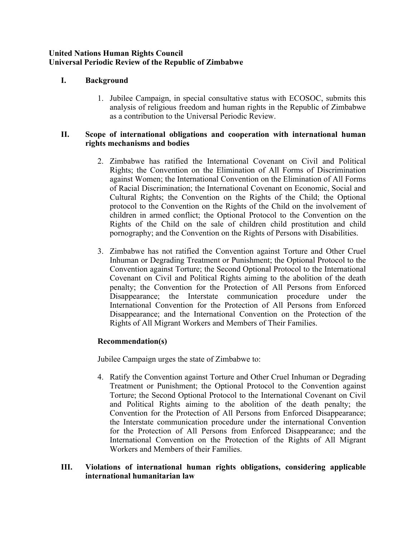### **United Nations Human Rights Council Universal Periodic Review of the Republic of Zimbabwe**

# **I. Background**

1. Jubilee Campaign, in special consultative status with ECOSOC, submits this analysis of religious freedom and human rights in the Republic of Zimbabwe as <sup>a</sup> contribution to the Universal Periodic Review.

### **II. Scope of international obligations and cooperation with international human rights mechanisms and bodies**

- 2. Zimbabwe has ratified the International Covenant on Civil and Political Rights; the Convention on the Elimination of All Forms of Discrimination against Women; the International Convention on the Elimination of All Forms of Racial Discrimination; the International Covenant on Economic, Social and Cultural Rights; the Convention on the Rights of the Child; the Optional protocol to the Convention on the Rights of the Child on the involvement of children in armed conflict; the Optional Protocol to the Convention on the Rights of the Child on the sale of children child prostitution and child pornography; and the Convention on the Rights of Persons with Disabilities.
- 3. Zimbabwe has not ratified the Convention against Torture and Other Cruel Inhuman or Degrading Treatment or Punishment; the Optional Protocol to the Convention against Torture; the Second Optional Protocol to the International Covenant on Civil and Political Rights aiming to the abolition of the death penalty; the Convention for the Protection of All Persons from Enforced Disappearance; the Interstate communication procedure under the International Convention for the Protection of All Persons from Enforced Disappearance; and the International Convention on the Protection of the Rights of All Migrant Workers and Members of Their Families.

# **Recommendation(s)**

Jubilee Campaign urges the state of Zimbabwe to:

4. Ratify the Convention against Torture and Other Cruel Inhuman or Degrading Treatment or Punishment; the Optional Protocol to the Convention against Torture; the Second Optional Protocol to the International Covenant on Civil and Political Rights aiming to the abolition of the death penalty; the Convention for the Protection of All Persons from Enforced Disappearance; the Interstate communication procedure under the international Convention for the Protection of All Persons from Enforced Disappearance; and the International Convention on the Protection of the Rights of All Migrant Workers and Members of their Families.

### **III. Violations of international human rights obligations, considering applicable international humanitarian law**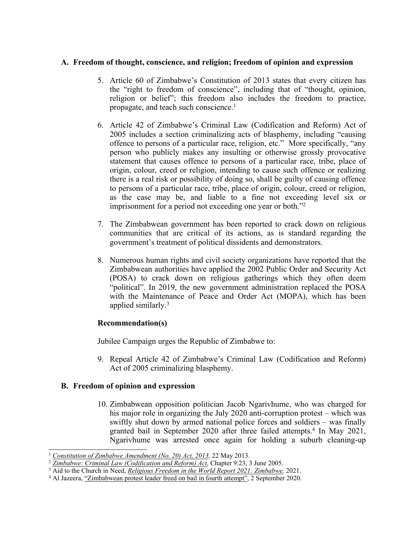### **A. Freedom of thought, conscience, and religion; freedom of opinion and expression**

- 5. Article 60 of Zimbabwe'<sup>s</sup> Constitution of 2013 states that every citizen has the "right to freedom of conscience", including that of "thought, opinion, religion or belief"; this freedom also includes the freedom to practice, propagate, and teach such conscience. 1
- 6. Article 42 of Zimbabwe'<sup>s</sup> Criminal Law (Codification and Reform) Act of 2005 includes <sup>a</sup> section criminalizing acts of blasphemy, including "causing offence to persons of <sup>a</sup> particular race, religion, etc." More specifically, "any person who publicly makes any insulting or otherwise grossly provocative statement that causes offence to persons of <sup>a</sup> particular race, tribe, place of origin, colour, creed or religion, intending to cause such offence or realizing there is <sup>a</sup> real risk or possibility of doing so, shall be guilty of causing offence to persons of <sup>a</sup> particular race, tribe, place of origin, colour, creed or religion, as the case may be, and liable to <sup>a</sup> fine not exceeding level six or imprisonment for <sup>a</sup> period not exceeding one year or both."<sup>2</sup>
- 7. The Zimbabwean governmen<sup>t</sup> has been reported to crack down on religious communities that are critical of its actions, as is standard regarding the government'<sup>s</sup> treatment of political dissidents and demonstrators.
- 8. Numerous human rights and civil society organizations have reported that the Zimbabwean authorities have applied the 2002 Public Order and Security Act (POSA) to crack down on religious gatherings which they often deem "political". In 2019, the new governmen<sup>t</sup> administration replaced the POSA with the Maintenance of Peace and Order Act (MOPA), which has been applied similarly. 3

# **Recommendation(s)**

Jubilee Campaign urges the Republic of Zimbabwe to:

9. Repeal Article 42 of Zimbabwe'<sup>s</sup> Criminal Law (Codification and Reform) Act of 2005 criminalizing blasphemy.

# **B. Freedom of opinion and expression**

10. Zimbabwean opposition politician Jacob Ngarivhume, who was charged for his major role in organizing the July 2020 anti-corruption protest – which was swiftly shut down by armed national police forces and soldiers – was finally granted bail in September 2020 after three failed attempts. 4 In May 2021, Ngarivhume was arrested once again for holding <sup>a</sup> suburb cleaning-up

<sup>1</sup> *Constitution of Zimbabwe [Amendment](https://www.constituteproject.org/constitution/Zimbabwe_2013.pdf) (No. 20) Act, 2013,* <sup>22</sup> May 2013.

<sup>2</sup> *Zimbabwe: Criminal Law [\(Codification](https://www.refworld.org/pdfid/4c45b64c2.pdf) and Reform) Act,* Chapter 9:23, 3 June 2005.

<sup>3</sup> Aid to the Church in Need, *Religious Freedom in the World Report 2021: [Zimbabwe](https://acninternational.org/religiousfreedomreport/reports/zw/),* 2021.

<sup>4</sup> Al Jazeera, "[Zimbabwean](https://www.aljazeera.com/news/2020/9/2/zimbabwean-protest-leader-freed-on-bail-in-fourth-attempt) protest leader freed on bail in fourth attempt", 2 September 2020.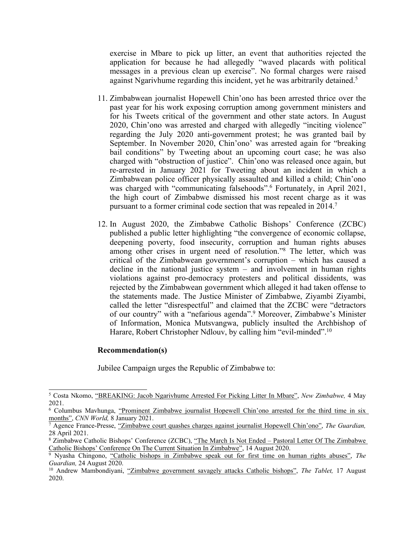exercise in Mbare to pick up litter, an event that authorities rejected the application for because he had allegedly "waved placards with political messages in <sup>a</sup> previous clean up exercise". No formal charges were raised against Ngarivhume regarding this incident, ye<sup>t</sup> he was arbitrarily detained. 5

- 11. Zimbabwean journalist Hopewell Chin'ono has been arrested thrice over the pas<sup>t</sup> year for his work exposing corruption among governmen<sup>t</sup> ministers and for his Tweets critical of the governmen<sup>t</sup> and other state actors. In August 2020, Chin'ono was arrested and charged with allegedly "inciting violence" regarding the July 2020 anti-government protest; he was granted bail by September. In November 2020, Chin'ono' was arrested again for "breaking bail conditions" by Tweeting about an upcoming court case; he was also charged with "obstruction of justice". Chin'ono was released once again, but re-arrested in January 2021 for Tweeting about an incident in which <sup>a</sup> Zimbabwean police officer physically assaulted and killed <sup>a</sup> child; Chin'ono was charged with "communicating falsehoods". 6 Fortunately, in April 2021, the high court of Zimbabwe dismissed his most recent charge as it was pursuan<sup>t</sup> to <sup>a</sup> former criminal code section that was repealed in 2014. 7
- 12. In August 2020, the Zimbabwe Catholic Bishops' Conference (ZCBC) published <sup>a</sup> public letter highlighting "the convergence of economic collapse, deepening poverty, food insecurity, corruption and human rights abuses among other crises in urgen<sup>t</sup> need of resolution."<sup>8</sup> The letter, which was critical of the Zimbabwean government'<sup>s</sup> corruption – which has caused <sup>a</sup> decline in the national justice system – and involvement in human rights violations against pro-democracy protesters and political dissidents, was rejected by the Zimbabwean governmen<sup>t</sup> which alleged it had taken offense to the statements made. The Justice Minister of Zimbabwe, Ziyambi Ziyambi, called the letter "disrespectful" and claimed that the ZCBC were "detractors of our country" with <sup>a</sup> "nefarious agenda". <sup>9</sup> Moreover, Zimbabwe'<sup>s</sup> Minister of Information, Monica Mutsvangwa, publicly insulted the Archbishop of Harare, Robert Christopher Ndlouv, by calling him "evil-minded". 10

#### **Recommendation(s)**

Jubilee Campaign urges the Republic of Zimbabwe to:

<sup>5</sup> Costa Nkomo, "BREAKING: Jacob [Ngarivhume](https://www.newzimbabwe.com/breaking-jacob-ngarivhume-arrested-for-picking-litter-in-mbare/) Arrested For Picking Litter In Mbare", *New Zimbabwe,* 4 May 2021.

<sup>6</sup> Columbus Mavhunga, "Prominent Zimbabwe [journalist](https://www.cnn.com/2021/01/08/africa/zimbabwe-journalist-chinono-arrested/index.html) Hopewell Chin'ono arrested for the third time in six [months](https://www.cnn.com/2021/01/08/africa/zimbabwe-journalist-chinono-arrested/index.html)", *CNN World,* 8 January 2021.

<sup>7</sup> Agence France-Presse, "Zimbabwe court quashes charges against [journalist](https://www.theguardian.com/world/2021/apr/28/zimbabwe-court-quashes-charges-against-journalist-hopewell-chinono) Hopewell Chin'ono", *The Guardian,* 28 April 2021.

<sup>&</sup>lt;sup>8</sup> [Zimbabwe](https://kubatana.net/2020/08/14/the-march-is-not-ended-pastoral-letter-of-the-zimbabwe-catholic-bishops-conference-on-the-current-situation-in-zimbabwe/) Catholic Bishops' Conference (ZCBC), "The March Is Not Ended – Pastoral Letter Of The Zimbabwe Catholic Bishops' [Conference](https://kubatana.net/2020/08/14/the-march-is-not-ended-pastoral-letter-of-the-zimbabwe-catholic-bishops-conference-on-the-current-situation-in-zimbabwe/) On The Current Situation In Zimbabwe", 14 August 2020.

<sup>9</sup> Nyasha Chingono, "Catholic bishops in [Zimbabwe](https://www.theguardian.com/global-development/2020/aug/24/catholic-bishops-in-zimbabwe-speak-out-for-first-time-on-human-rights-abuses-mnangagwa) speak out for first time on human rights abuses", *The Guardian,* 24 August 2020.

<sup>10</sup> Andrew Mambondiyani, "Zimbabwe [governmen](https://www.thetablet.co.uk/news/13261/zimbabwe-government-savagely-attacks-catholic-bishops)<sup>t</sup> savagely attacks Catholic bishops", *The Tablet,* 17 August 2020.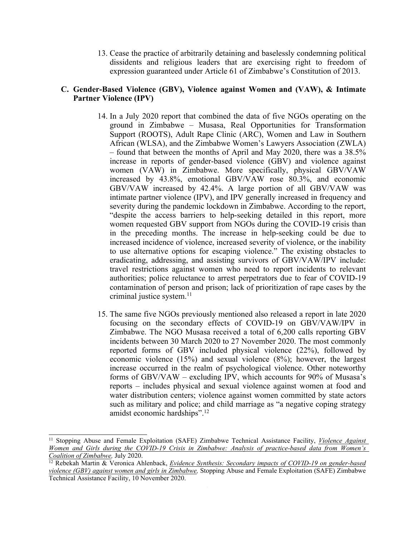13. Cease the practice of arbitrarily detaining and baselessly condemning political dissidents and religious leaders that are exercising right to freedom of expression guaranteed under Article 61 of Zimbabwe'<sup>s</sup> Constitution of 2013.

### **C. Gender-Based Violence (GBV), Violence against Women and (VAW), & Intimate Partner Violence (IPV)**

- 14. In <sup>a</sup> July 2020 repor<sup>t</sup> that combined the data of five NGOs operating on the ground in Zimbabwe – Musasa, Real Opportunities for Transformation Support (ROOTS), Adult Rape Clinic (ARC), Women and Law in Southern African (WLSA), and the Zimbabwe Women'<sup>s</sup> Lawyers Association (ZWLA) – found that between the months of April and May 2020, there was <sup>a</sup> 38.5% increase in reports of gender-based violence (GBV) and violence against women (VAW) in Zimbabwe. More specifically, physical GBV/VAW increased by 43.8%, emotional GBV/VAW rose 80.3%, and economic GBV/VAW increased by 42.4%. A large portion of all GBV/VAW was intimate partner violence (IPV), and IPV generally increased in frequency and severity during the pandemic lockdown in Zimbabwe. According to the report, "despite the access barriers to help-seeking detailed in this report, more women requested GBV suppor<sup>t</sup> from NGOs during the COVID-19 crisis than in the preceding months. The increase in help-seeking could be due to increased incidence of violence, increased severity of violence, or the inability to use alternative options for escaping violence." The existing obstacles to eradicating, addressing, and assisting survivors of GBV/VAW/IPV include: travel restrictions against women who need to repor<sup>t</sup> incidents to relevant authorities; police reluctance to arrest perpetrators due to fear of COVID-19 contamination of person and prison; lack of prioritization of rape cases by the criminal justice system. 11
- 15. The same five NGOs previously mentioned also released <sup>a</sup> repor<sup>t</sup> in late 2020 focusing on the secondary effects of COVID-19 on GBV/VAW/IPV in Zimbabwe. The NGO Musasa received <sup>a</sup> total of 6,200 calls reporting GBV incidents between 30 March 2020 to 27 November 2020. The most commonly reported forms of GBV included physical violence (22%), followed by economic violence (15%) and sexual violence (8%); however, the largest increase occurred in the realm of psychological violence. Other noteworthy forms of GBV/VAW – excluding IPV, which accounts for 90% of Musasa'<sup>s</sup> reports – includes physical and sexual violence against women at food and water distribution centers; violence against women committed by state actors such as military and police; and child marriage as "<sup>a</sup> negative coping strategy amidst economic hardships". 12

<sup>11</sup> Stopping Abuse and Female Exploitation (SAFE) Zimbabwe Technical Assistance Facility, *Violence [Against](https://www.sddirect.org.uk/media/2088/safe-report-on-gender-based-violence-data-in-zimbabwe-during-c19-for-publication.pdf)* Women and Girls during the COVID-19 Crisis in [Zimbabwe:](https://www.sddirect.org.uk/media/2088/safe-report-on-gender-based-violence-data-in-zimbabwe-during-c19-for-publication.pdf) Analysis of practice-based data from Women's *Coalition of [Zimbabwe](https://www.sddirect.org.uk/media/2088/safe-report-on-gender-based-violence-data-in-zimbabwe-during-c19-for-publication.pdf),* July 2020.

<sup>12</sup> Rebekah Martin & Veronica Ahlenback, *Evidence Synthesis: [Secondary](https://www.sddirect.org.uk/media/2136/safe-zimbabwe-evidence-synthesis-on-covid19-10122020-for-publication-v2.pdf) impacts of COVID-19 on gender-based violence (GBV) against women and girls in [Zimbabwe](https://www.sddirect.org.uk/media/2136/safe-zimbabwe-evidence-synthesis-on-covid19-10122020-for-publication-v2.pdf),* Stopping Abuse and Female Exploitation (SAFE) Zimbabwe Technical Assistance Facility, 10 November 2020.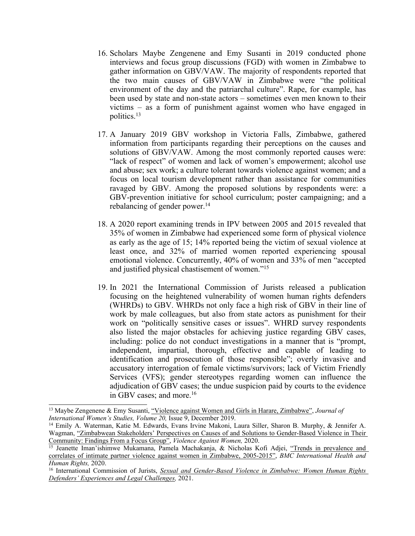- 16. Scholars Maybe Zengenene and Emy Susanti in 2019 conducted phone interviews and focus group discussions (FGD) with women in Zimbabwe to gather information on GBV/VAW. The majority of respondents reported that the two main causes of GBV/VAW in Zimbabwe were "the political environment of the day and the patriarchal culture". Rape, for example, has been used by state and non-state actors – sometimes even men known to their victims – as <sup>a</sup> form of punishment against women who have engaged in politics. 13
- 17. A January 2019 GBV workshop in Victoria Falls, Zimbabwe, gathered information from participants regarding their perceptions on the causes and solutions of GBV/VAW. Among the most commonly reported causes were: "lack of respect" of women and lack of women'<sup>s</sup> empowerment; alcohol use and abuse; sex work; <sup>a</sup> culture tolerant towards violence against women; and <sup>a</sup> focus on local tourism development rather than assistance for communities ravaged by GBV. Among the proposed solutions by respondents were: <sup>a</sup> GBV-prevention initiative for school curriculum; poster campaigning; and <sup>a</sup> rebalancing of gender power. 14
- 18. A2020 repor<sup>t</sup> examining trends in IPV between 2005 and 2015 revealed that 35% of women in Zimbabwe had experienced some form of physical violence as early as the age of 15; 14% reported being the victim of sexual violence at least once, and 32% of married women reported experiencing spousal emotional violence. Concurrently, 40% of women and 33% of men "accepted and justified <sup>p</sup>hysical chastisement of women."<sup>15</sup>
- 19. In 2021 the International Commission of Jurists released <sup>a</sup> publication focusing on the heightened vulnerability of women human rights defenders (WHRDs) to GBV. WHRDs not only face <sup>a</sup> high risk of GBV in their line of work by male colleagues, but also from state actors as punishment for their work on "politically sensitive cases or issues". WHRD survey respondents also listed the major obstacles for achieving justice regarding GBV cases, including: police do not conduct investigations in <sup>a</sup> manner that is "prompt, independent, impartial, thorough, effective and capable of leading to identification and prosecution of those responsible"; overly invasive and accusatory interrogation of female victims/survivors; lack of Victim Friendly Services (VFS); gender stereotypes regarding women can influence the adjudication of GBV cases; the undue suspicion paid by courts to the evidence in GBV cases; and more. 16

<sup>13</sup> Maybe Zengenene & Emy Susanti, "Violence against Women and Girls in Harare, [Zimbabwe](https://vc.bridgew.edu/cgi/viewcontent.cgi?article=2200&context=jiws)", *Journal of International Women'<sup>s</sup> Studies, Volume 20,* Issue 9, December 2019.

<sup>14</sup> Emily A. Waterman, Katie M. Edwards, Evans Irvine Makoni, Laura Siller, Sharon B. Murphy, & Jennifer A. Wagman, "Zimbabwean Stakeholders' [Perspectives](https://escholarship.org/uc/item/3tt9d861) on Causes of and Solutions to Gender-Based Violence in Their

[Community:](https://escholarship.org/uc/item/3tt9d861) Findings From a Focus Group", *Violence Against Women*, 2020.<br><sup>15</sup> Jeanette Iman'ishimwe Mukamana, Pamela Machakanja, & Nicholas Kofi Adjei, <u>"[Trends](https://bmcinthealthhumrights.biomedcentral.com/track/pdf/10.1186/s12914-019-0220-8.pdf) in prevalence and</u> correlates of intimate partner violence against women in [Zimbabwe,](https://bmcinthealthhumrights.biomedcentral.com/track/pdf/10.1186/s12914-019-0220-8.pdf) 2005-2015", *BMC International Health and Human Rights,* 2020.

<sup>16</sup> International Commission of Jurists, *Sexual and [Gender-Based](https://www.icj.org/wp-content/uploads/2021/03/Zimbabwe-SGBV-WHRD-Publications-Reports-Thematic-reports-2021-ENG.pdf) Violence in Zimbabwe: Women Human Rights Defenders' [Experiences](https://www.icj.org/wp-content/uploads/2021/03/Zimbabwe-SGBV-WHRD-Publications-Reports-Thematic-reports-2021-ENG.pdf) and Legal Challenges,* 2021.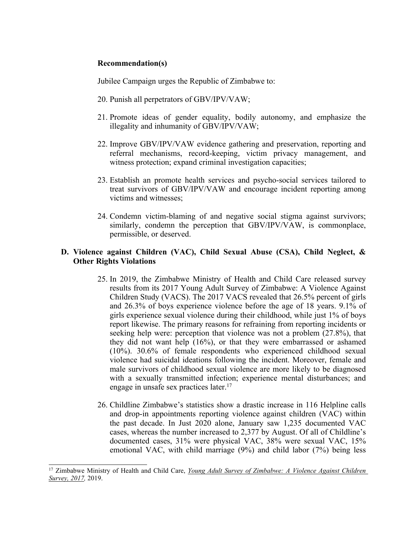### **Recommendation(s)**

Jubilee Campaign urges the Republic of Zimbabwe to:

- 20. Punish all perpetrators of GBV/IPV/VAW;
- 21. Promote ideas of gender equality, bodily autonomy, and emphasize the illegality and inhumanity of GBV/IPV/VAW;
- 22. Improve GBV/IPV/VAW evidence gathering and preservation, reporting and referral mechanisms, record-keeping, victim privacy management, and witness protection; expand criminal investigation capacities;
- 23. Establish an promote health services and psycho-social services tailored to treat survivors of GBV/IPV/VAW and encourage incident reporting among victims and witnesses;
- 24. Condemn victim-blaming of and negative social stigma against survivors; similarly, condemn the perception that GBV/IPV/VAW, is commonplace, permissible, or deserved.

### **D. Violence against Children (VAC), Child Sexual Abuse (CSA), Child Neglect, & Other Rights Violations**

- 25. In 2019, the Zimbabwe Ministry of Health and Child Care released survey results from its 2017 Young Adult Survey of Zimbabwe: A Violence Against Children Study (VACS). The 2017 VACS revealed that 26.5% percen<sup>t</sup> of girls and 26.3% of boys experience violence before the age of 18 years. 9.1% of girls experience sexual violence during their childhood, while just 1% of boys repor<sup>t</sup> likewise. The primary reasons for refraining from reporting incidents or seeking help were: perception that violence was not <sup>a</sup> problem (27.8%), that they did not want help (16%), or that they were embarrassed or ashamed (10%). 30.6% of female respondents who experienced childhood sexual violence had suicidal ideations following the incident. Moreover, female and male survivors of childhood sexual violence are more likely to be diagnosed with <sup>a</sup> sexually transmitted infection; experience mental disturbances; and engage in unsafe sex practices later. 17
- 26. Childline Zimbabwe'<sup>s</sup> statistics show <sup>a</sup> drastic increase in 116 Helpline calls and drop-in appointments reporting violence against children (VAC) within the pas<sup>t</sup> decade. In Just 2020 alone, January saw 1,235 documented VAC cases, whereas the number increased to 2,377 by August. Of all of Childline'<sup>s</sup> documented cases, 31% were physical VAC, 38% were sexual VAC, 15% emotional VAC, with child marriage (9%) and child labor (7%) being less

<sup>17</sup> Zimbabwe Ministry of Health and Child Care, *Young Adult Survey of [Zimbabwe:](https://www.togetherforgirls.org/wp-content/uploads/VACS-Report_June-5-2020.pdf) A Violence Against Children [Survey,](https://www.togetherforgirls.org/wp-content/uploads/VACS-Report_June-5-2020.pdf) 2017,* 2019.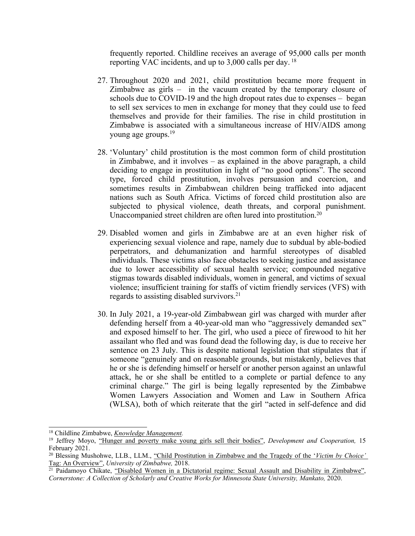frequently reported. Childline receives an average of 95,000 calls per month reporting VAC incidents, and up to 3,000 calls per day. 18

- 27. Throughout 2020 and 2021, child prostitution became more frequent in Zimbabwe as girls – in the vacuum created by the temporary closure of schools due to COVID-19 and the high dropout rates due to expenses – began to sell sex services to men in exchange for money that they could use to feed themselves and provide for their families. The rise in child prostitution in Zimbabwe is associated with <sup>a</sup> simultaneous increase of HIV/AIDS among young age groups. 19
- 28. 'Voluntary' child prostitution is the most common form of child prostitution in Zimbabwe, and it involves – as explained in the above paragraph, <sup>a</sup> child deciding to engage in prostitution in light of "no good options". The second type, forced child prostitution, involves persuasion and coercion, and sometimes results in Zimbabwean children being trafficked into adjacent nations such as South Africa. Victims of forced child prostitution also are subjected to physical violence, death threats, and corporal punishment. Unaccompanied street children are often lured into prostitution.<sup>20</sup>
- 29. Disabled women and girls in Zimbabwe are at an even higher risk of experiencing sexual violence and rape, namely due to subdual by able-bodied perpetrators, and dehumanization and harmful stereotypes of disabled individuals. These victims also face obstacles to seeking justice and assistance due to lower accessibility of sexual health service; compounded negative stigmas towards disabled individuals, women in general, and victims of sexual violence; insufficient training for staffs of victim friendly services (VFS) with regards to assisting disabled survivors. 21
- 30. In July 2021, <sup>a</sup> 19-year-old Zimbabwean girl was charged with murder after defending herself from <sup>a</sup> 40-year-old man who "aggressively demanded sex" and exposed himself to her. The girl, who used <sup>a</sup> piece of firewood to hit her assailant who fled and was found dead the following day, is due to receive her sentence on 23 July. This is despite national legislation that stipulates that if someone "genuinely and on reasonable grounds, but mistakenly, believes that he or she is defending himself or herself or another person against an unlawful attack, he or she shall be entitled to <sup>a</sup> complete or partial defence to any criminal charge." The girl is being legally represented by the Zimbabwe Women Lawyers Association and Women and Law in Southern Africa (WLSA), both of which reiterate that the girl "acted in self-defence and did

<sup>18</sup> Childline Zimbabwe, *Knowledge [Management](http://childline.org.zw/meal).*

<sup>19</sup> Jeffrey Moyo, "[Hunger](https://www.dandc.eu/en/article/zimbabwe-seeing-spike-child-prostitution-poverty-and-hunger-spread) and poverty make young girls sell their bodies", *Development and Cooperation,* 15 February 2021.

<sup>20</sup> Blessing Mushohwe, LLB., LLM., "Child [Prostitution](https://zimlii.org/zw/journals/Child%20Prostitution%20in%20Zimbabwe%20incorpates%20anne%20comments%20.pdf) in Zimbabwe and the Tragedy of the '*Victim by Choice'* Tag: An [Overview](https://zimlii.org/zw/journals/Child%20Prostitution%20in%20Zimbabwe%20incorpates%20anne%20comments%20.pdf)", *University of Zimbabwe,* 2018.

<sup>&</sup>lt;sup>21</sup> Paidamoyo Chikate, <u>"Disabled Women in a Dictatorial regime: Sexual Assault and [Disability](https://cornerstone.lib.mnsu.edu/cgi/viewcontent.cgi?article=2031&context=etds) in Zimbabwe",</u> *Cornerstone: A Collection of Scholarly and Creative Works for Minnesota State University, Mankato,* 2020.